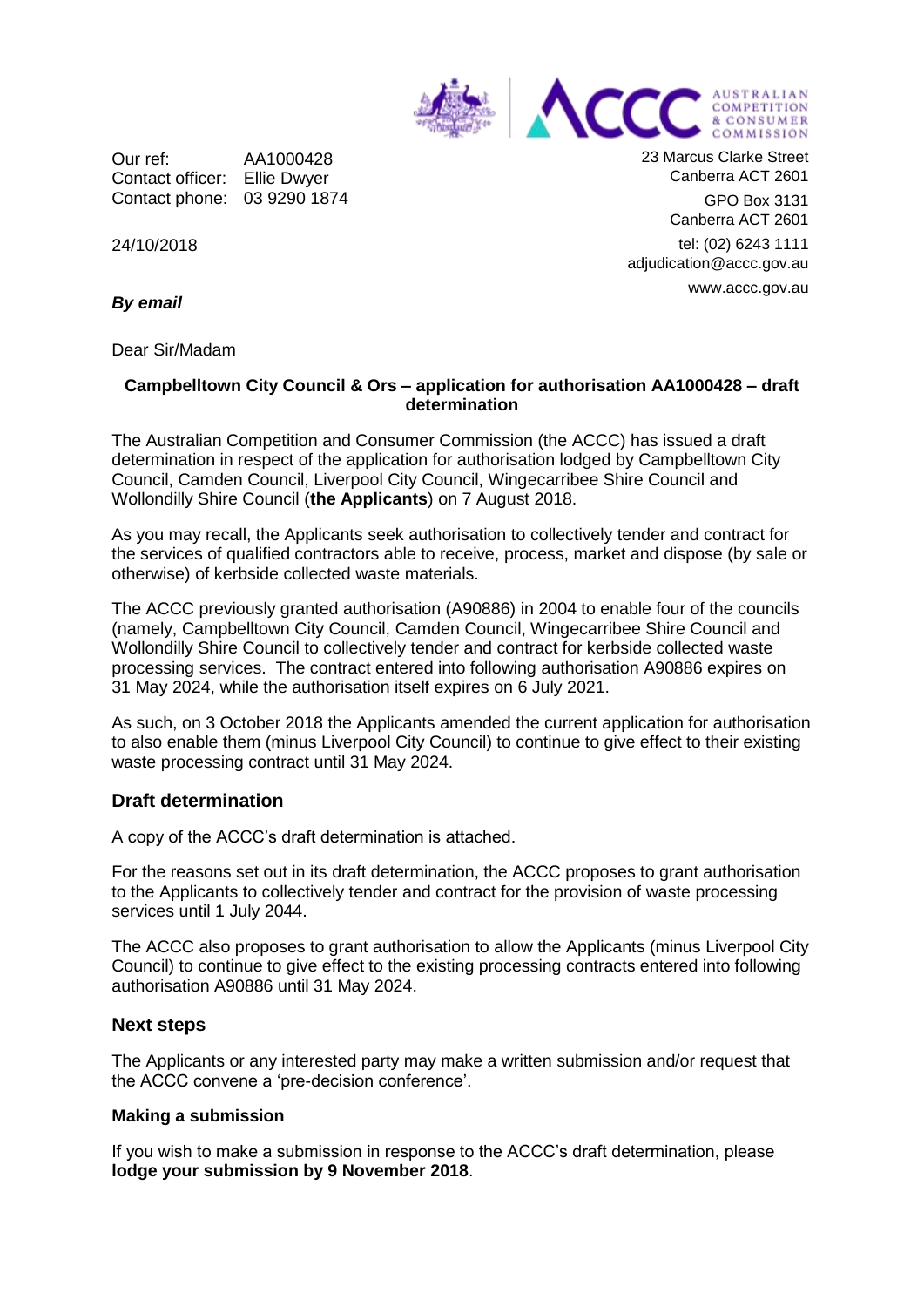

Our ref: AA1000428 Contact officer: Ellie Dwyer Contact phone: 03 9290 1874 23 Marcus Clarke Street Canberra ACT 2601

GPO Box 3131 Canberra ACT 2601

tel: (02) 6243 1111 adjudication@accc.gov.au www.accc.gov.au

24/10/2018

*By email*

Dear Sir/Madam

### **Campbelltown City Council & Ors – application for authorisation AA1000428 – draft determination**

The Australian Competition and Consumer Commission (the ACCC) has issued a draft determination in respect of the application for authorisation lodged by Campbelltown City Council, Camden Council, Liverpool City Council, Wingecarribee Shire Council and Wollondilly Shire Council (**the Applicants**) on 7 August 2018.

As you may recall, the Applicants seek authorisation to collectively tender and contract for the services of qualified contractors able to receive, process, market and dispose (by sale or otherwise) of kerbside collected waste materials.

The ACCC previously granted authorisation (A90886) in 2004 to enable four of the councils (namely, Campbelltown City Council, Camden Council, Wingecarribee Shire Council and Wollondilly Shire Council to collectively tender and contract for kerbside collected waste processing services. The contract entered into following authorisation A90886 expires on 31 May 2024, while the authorisation itself expires on 6 July 2021.

As such, on 3 October 2018 the Applicants amended the current application for authorisation to also enable them (minus Liverpool City Council) to continue to give effect to their existing waste processing contract until 31 May 2024.

# **Draft determination**

A copy of the ACCC's draft determination is attached.

For the reasons set out in its draft determination, the ACCC proposes to grant authorisation to the Applicants to collectively tender and contract for the provision of waste processing services until 1 July 2044.

The ACCC also proposes to grant authorisation to allow the Applicants (minus Liverpool City Council) to continue to give effect to the existing processing contracts entered into following authorisation A90886 until 31 May 2024.

# **Next steps**

The Applicants or any interested party may make a written submission and/or request that the ACCC convene a 'pre-decision conference'.

### **Making a submission**

If you wish to make a submission in response to the ACCC's draft determination, please **lodge your submission by 9 November 2018**.